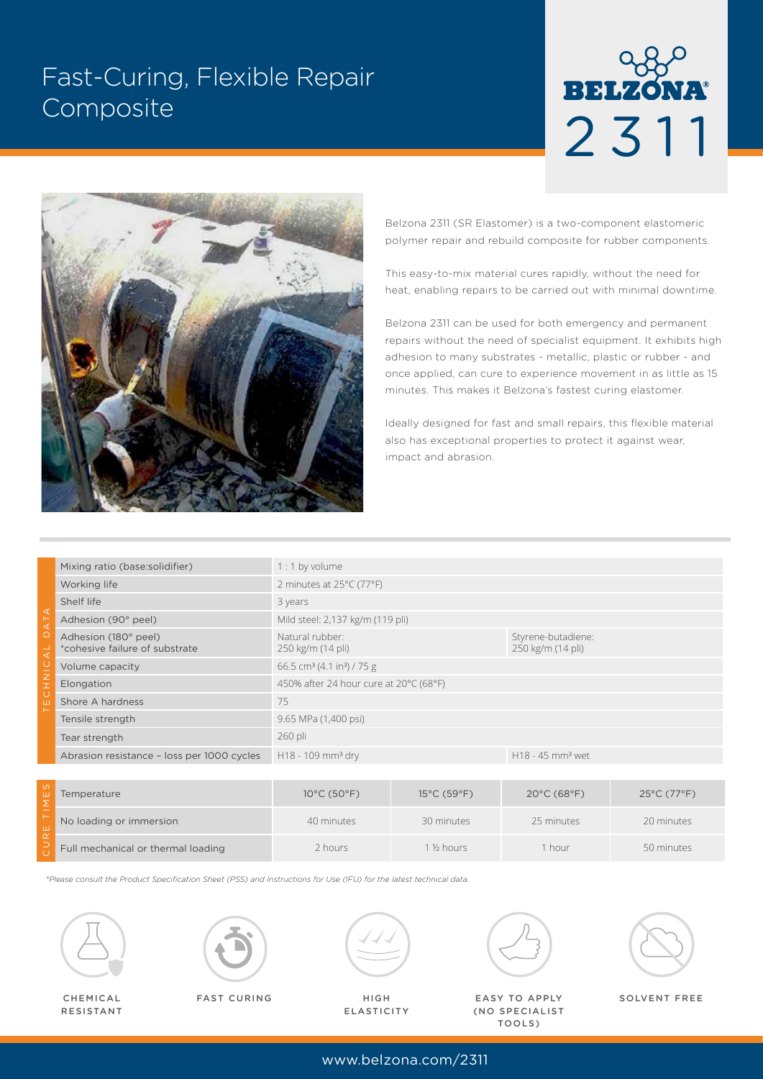# Fast-Curing, Flexible Repair **Composite**





Belzona 2311 (SR Elastomer) is a two-component elastomeric polymer repair and rebuild composite for rubber components.

This easy-to-mix material cures rapidly, without the need for heat, enabling repairs to be carried out with minimal downtime.

Belzona 2311 can be used for both emergency and permanent repairs without the need of specialist equipment. It exhibits high adhesion to many substrates - metallic, plastic or rubber - and once applied, can cure to experience movement in as little as 15 minutes. This makes it Belzona's fastest curing elastomer.

Ideally designed for fast and small repairs, this flexible material also has exceptional properties to protect it against wear, impact and abrasion.

| ◁<br><b>DAT</b><br>√≂<br>$\frac{C}{Z}$<br>$\circ$<br>Ш | Mixing ratio (base:solidifier)                         | $1:1$ by volume                                    |                                         |  |
|--------------------------------------------------------|--------------------------------------------------------|----------------------------------------------------|-----------------------------------------|--|
|                                                        | Working life                                           | 2 minutes at 25°C (77°F)                           |                                         |  |
|                                                        | Shelf life                                             | 3 years                                            |                                         |  |
|                                                        | Adhesion (90° peel)                                    | Mild steel: 2,137 kg/m (119 pli)                   |                                         |  |
|                                                        | Adhesion (180° peel)<br>*cohesive failure of substrate | Natural rubber:<br>250 kg/m (14 pli)               | Styrene-butadiene:<br>250 kg/m (14 pli) |  |
|                                                        | Volume capacity                                        | 66.5 cm <sup>3</sup> (4.1 in <sup>3</sup> ) / 75 g |                                         |  |
|                                                        | Elongation                                             | 450% after 24 hour cure at 20°C (68°F)             |                                         |  |
|                                                        | Shore A hardness                                       | 75                                                 |                                         |  |
|                                                        | Tensile strength                                       | 9.65 MPa (1,400 psi)                               |                                         |  |
|                                                        | Tear strength                                          | 260 pli                                            |                                         |  |
|                                                        | Abrasion resistance - loss per 1000 cycles             | H18 - 109 mm <sup>3</sup> dry                      | $H18 - 45$ mm <sup>3</sup> wet          |  |
|                                                        |                                                        |                                                    |                                         |  |

|      | Temperature                        | $10^{\circ}$ C (50 $^{\circ}$ F) | $15^{\circ}$ C (59 $^{\circ}$ F) | $20^{\circ}$ C (68 $^{\circ}$ F) | $25^{\circ}$ C (77 $^{\circ}$ F) |
|------|------------------------------------|----------------------------------|----------------------------------|----------------------------------|----------------------------------|
| 1000 | No loading or immersion            | 40 minutes                       | 30 minutes                       | 25 minutes                       | 20 minutes                       |
|      | Full mechanical or thermal loading | 2 hours                          | l ½ hours                        | 1 hour                           | 50 minutes                       |

*\*Please consult the Product Specification Sheet (PSS) and Instructions for Use (IFU) for the latest technical data.*



RESISTANT



CHEMICAL FAST CURING

ELASTICITY



EASY TO APPLY HIGH SOLVENT FREE (NO SPECIALIST TOOLS)



www.belzona.com/2311